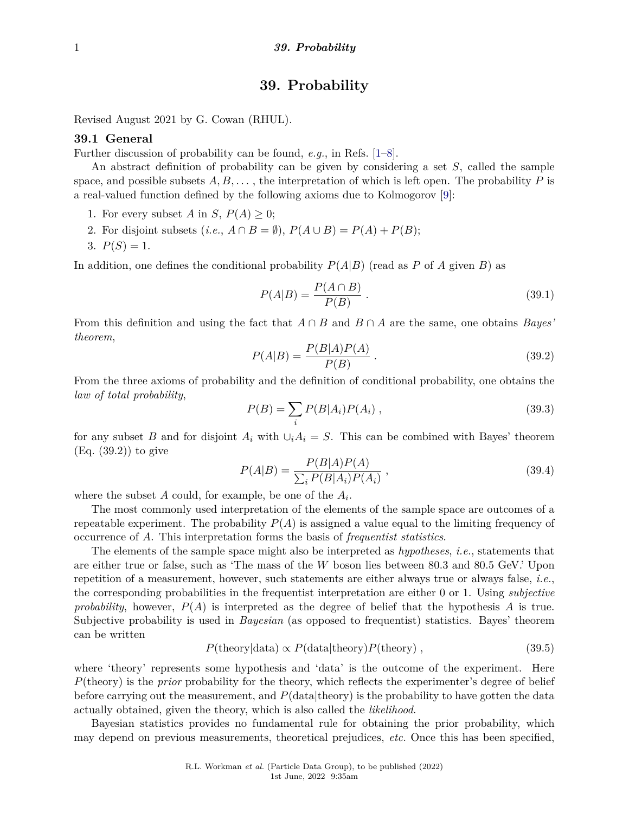# **39. Probability**

Revised August 2021 by G. Cowan (RHUL).

# **39.1 General**

Further discussion of probability can be found, *e.g.*, in Refs. [\[1–](#page-8-0)[8\]](#page-8-1).

An abstract definition of probability can be given by considering a set *S*, called the sample space, and possible subsets  $A, B, \ldots$ , the interpretation of which is left open. The probability P is a real-valued function defined by the following axioms due to Kolmogorov [\[9\]](#page-8-2):

- 1. For every subset *A* in *S*,  $P(A) \geq 0$ ;
- 2. For disjoint subsets  $(i.e., A \cap B = \emptyset)$ ,  $P(A \cup B) = P(A) + P(B)$ ;
- 3.  $P(S) = 1$ .

In addition, one defines the conditional probability  $P(A|B)$  (read as *P* of *A* given *B*) as

$$
P(A|B) = \frac{P(A \cap B)}{P(B)}.
$$
\n
$$
(39.1)
$$

From this definition and using the fact that  $A \cap B$  and  $B \cap A$  are the same, one obtains *Bayes' theorem*,

$$
P(A|B) = \frac{P(B|A)P(A)}{P(B)}.
$$
\n(39.2)

From the three axioms of probability and the definition of conditional probability, one obtains the *law of total probability*,

$$
P(B) = \sum_{i} P(B|A_i)P(A_i) \,, \tag{39.3}
$$

for any subset *B* and for disjoint  $A_i$  with  $\bigcup_i A_i = S$ . This can be combined with Bayes' theorem (Eq. (39.2)) to give

$$
P(A|B) = \frac{P(B|A)P(A)}{\sum_{i} P(B|A_i)P(A_i)},
$$
\n(39.4)

where the subset *A* could, for example, be one of the *A<sup>i</sup>* .

The most commonly used interpretation of the elements of the sample space are outcomes of a repeatable experiment. The probability  $P(A)$  is assigned a value equal to the limiting frequency of occurrence of *A*. This interpretation forms the basis of *frequentist statistics*.

The elements of the sample space might also be interpreted as *hypotheses*, *i.e.*, statements that are either true or false, such as 'The mass of the *W* boson lies between 80.3 and 80.5 GeV.' Upon repetition of a measurement, however, such statements are either always true or always false, *i.e.*, the corresponding probabilities in the frequentist interpretation are either 0 or 1. Using *subjective probability*, however, *P*(*A*) is interpreted as the degree of belief that the hypothesis *A* is true. Subjective probability is used in *Bayesian* (as opposed to frequentist) statistics. Bayes' theorem can be written

$$
P(\text{theory}|\text{data}) \propto P(\text{data}|\text{theory})P(\text{theory}), \qquad (39.5)
$$

where 'theory' represents some hypothesis and 'data' is the outcome of the experiment. Here *P*(theory) is the *prior* probability for the theory, which reflects the experimenter's degree of belief before carrying out the measurement, and  $P(\text{data}|\text{theory})$  is the probability to have gotten the data actually obtained, given the theory, which is also called the *likelihood*.

Bayesian statistics provides no fundamental rule for obtaining the prior probability, which may depend on previous measurements, theoretical prejudices, *etc.* Once this has been specified,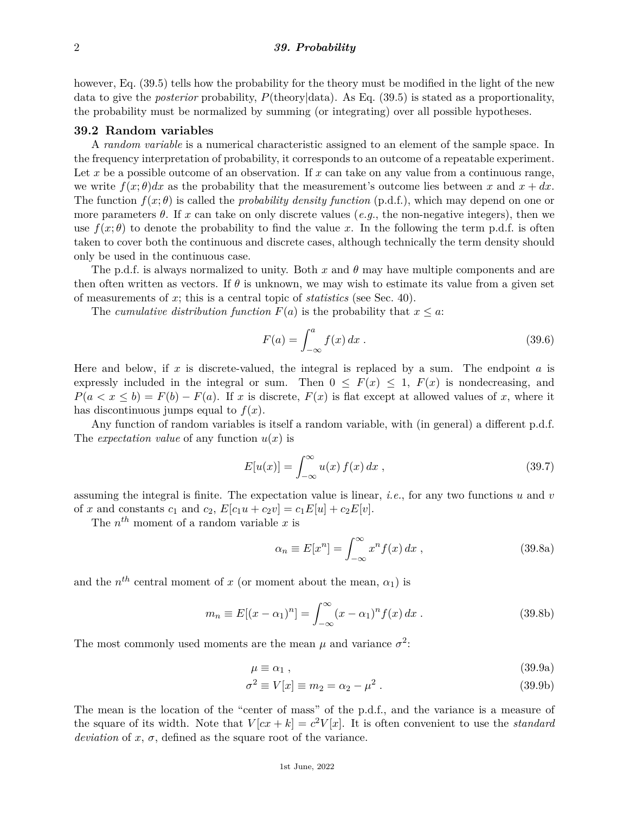however, Eq. (39.5) tells how the probability for the theory must be modified in the light of the new data to give the *posterior* probability, *P*(theory|data). As Eq. (39.5) is stated as a proportionality, the probability must be normalized by summing (or integrating) over all possible hypotheses.

## **39.2 Random variables**

A *random variable* is a numerical characteristic assigned to an element of the sample space. In the frequency interpretation of probability, it corresponds to an outcome of a repeatable experiment. Let x be a possible outcome of an observation. If x can take on any value from a continuous range, we write  $f(x; \theta)dx$  as the probability that the measurement's outcome lies between x and  $x + dx$ . The function  $f(x; \theta)$  is called the *probability density function* (p.d.f.), which may depend on one or more parameters  $\theta$ . If x can take on only discrete values (*e.g.*, the non-negative integers), then we use  $f(x;\theta)$  to denote the probability to find the value x. In the following the term p.d.f. is often taken to cover both the continuous and discrete cases, although technically the term density should only be used in the continuous case.

The p.d.f. is always normalized to unity. Both  $x$  and  $\theta$  may have multiple components and are then often written as vectors. If  $\theta$  is unknown, we may wish to estimate its value from a given set of measurements of *x*; this is a central topic of *statistics* (see Sec. 40).

The *cumulative distribution function*  $F(a)$  is the probability that  $x \leq a$ :

$$
F(a) = \int_{-\infty}^{a} f(x) dx . \qquad (39.6)
$$

Here and below, if *x* is discrete-valued, the integral is replaced by a sum. The endpoint *a* is expressly included in the integral or sum. Then  $0 \leq F(x) \leq 1$ ,  $F(x)$  is nondecreasing, and  $P(a < x \leq b) = F(b) - F(a)$ . If *x* is discrete,  $F(x)$  is flat except at allowed values of *x*, where it has discontinuous jumps equal to  $f(x)$ .

Any function of random variables is itself a random variable, with (in general) a different p.d.f. The *expectation value* of any function  $u(x)$  is

$$
E[u(x)] = \int_{-\infty}^{\infty} u(x) f(x) dx , \qquad (39.7)
$$

assuming the integral is finite. The expectation value is linear, *i.e.*, for any two functions *u* and *v* of *x* and constants  $c_1$  and  $c_2$ ,  $E[c_1u + c_2v] = c_1E[u] + c_2E[v]$ .

The  $n^{th}$  moment of a random variable x is

$$
\alpha_n \equiv E[x^n] = \int_{-\infty}^{\infty} x^n f(x) \, dx \,, \tag{39.8a}
$$

and the  $n^{th}$  central moment of *x* (or moment about the mean,  $\alpha_1$ ) is

$$
m_n \equiv E[(x - \alpha_1)^n] = \int_{-\infty}^{\infty} (x - \alpha_1)^n f(x) \, dx \,. \tag{39.8b}
$$

The most commonly used moments are the mean  $\mu$  and variance  $\sigma^2$ :

$$
\mu \equiv \alpha_1 \tag{39.9a}
$$

$$
\sigma^2 \equiv V[x] \equiv m_2 = \alpha_2 - \mu^2. \tag{39.9b}
$$

The mean is the location of the "center of mass" of the p.d.f., and the variance is a measure of the square of its width. Note that  $V(cx + k) = c^2V[x]$ . It is often convenient to use the *standard deviation* of  $x$ ,  $\sigma$ , defined as the square root of the variance.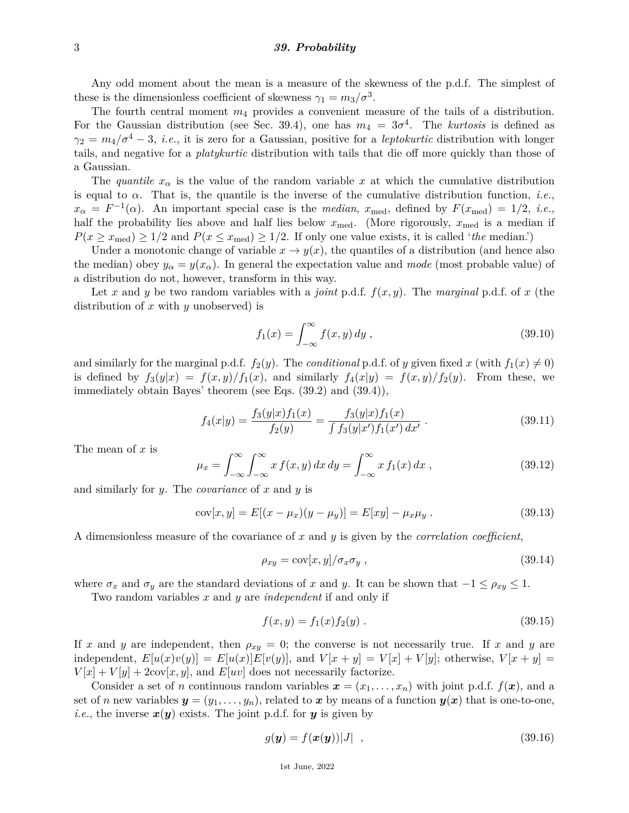#### 3 *39. Probability*

Any odd moment about the mean is a measure of the skewness of the p.d.f. The simplest of these is the dimensionless coefficient of skewness  $\gamma_1 = m_3/\sigma^3$ .

The fourth central moment *m*<sup>4</sup> provides a convenient measure of the tails of a distribution. For the Gaussian distribution (see Sec. 39.4), one has  $m_4 = 3\sigma^4$ . The *kurtosis* is defined as  $\gamma_2 = m_4/\sigma^4 - 3$ , *i.e.*, it is zero for a Gaussian, positive for a *leptokurtic* distribution with longer tails, and negative for a *platykurtic* distribution with tails that die off more quickly than those of a Gaussian.

The *quantile*  $x_{\alpha}$  is the value of the random variable x at which the cumulative distribution is equal to *α*. That is, the quantile is the inverse of the cumulative distribution function, *i.e.*,  $x_{\alpha} = F^{-1}(\alpha)$ . An important special case is the *median*,  $x_{\text{med}}$ , defined by  $F(x_{\text{med}}) = 1/2$ , *i.e.*, half the probability lies above and half lies below  $x_{\text{med}}$ . (More rigorously,  $x_{\text{med}}$  is a median if  $P(x \ge x_{\text{med}}) \ge 1/2$  and  $P(x \le x_{\text{med}}) \ge 1/2$ . If only one value exists, it is called '*the* median.')

Under a monotonic change of variable  $x \to y(x)$ , the quantiles of a distribution (and hence also the median) obey  $y_\alpha = y(x_\alpha)$ . In general the expectation value and *mode* (most probable value) of a distribution do not, however, transform in this way.

Let x and y be two random variables with a *joint* p.d.f.  $f(x, y)$ . The *marginal* p.d.f. of x (the distribution of *x* with *y* unobserved) is

$$
f_1(x) = \int_{-\infty}^{\infty} f(x, y) dy , \qquad (39.10)
$$

and similarly for the marginal p.d.f.  $f_2(y)$ . The *conditional* p.d.f. of *y* given fixed *x* (with  $f_1(x) \neq 0$ ) is defined by  $f_3(y|x) = f(x, y)/f_1(x)$ , and similarly  $f_4(x|y) = f(x, y)/f_2(y)$ . From these, we immediately obtain Bayes' theorem (see Eqs. (39.2) and (39.4)),

$$
f_4(x|y) = \frac{f_3(y|x)f_1(x)}{f_2(y)} = \frac{f_3(y|x)f_1(x)}{\int f_3(y|x')f_1(x') dx'}.
$$
 (39.11)

The mean of *x* is

$$
\mu_x = \int_{-\infty}^{\infty} \int_{-\infty}^{\infty} x f(x, y) dx dy = \int_{-\infty}^{\infty} x f_1(x) dx , \qquad (39.12)
$$

and similarly for *y*. The *covariance* of *x* and *y* is

$$
cov[x, y] = E[(x - \mu_x)(y - \mu_y)] = E[xy] - \mu_x \mu_y.
$$
 (39.13)

A dimensionless measure of the covariance of *x* and *y* is given by the *correlation coefficient*,

$$
\rho_{xy} = \text{cov}[x, y] / \sigma_x \sigma_y \,, \tag{39.14}
$$

where  $\sigma_x$  and  $\sigma_y$  are the standard deviations of *x* and *y*. It can be shown that  $-1 \leq \rho_{xy} \leq 1$ .

Two random variables *x* and *y* are *independent* if and only if

$$
f(x,y) = f_1(x)f_2(y) . \t\t(39.15)
$$

If *x* and *y* are independent, then  $\rho_{xy} = 0$ ; the converse is not necessarily true. If *x* and *y* are independent,  $E[u(x)v(y)] = E[u(x)]E[v(y)]$ , and  $V[x + y] = V[x] + V[y]$ ; otherwise,  $V[x + y] =$  $V[x] + V[y] + 2\text{cov}[x, y]$ , and  $E[uv]$  does not necessarily factorize.

Consider a set of *n* continuous random variables  $x = (x_1, \ldots, x_n)$  with joint p.d.f.  $f(x)$ , and a set of *n* new variables  $y = (y_1, \ldots, y_n)$ , related to *x* by means of a function  $y(x)$  that is one-to-one. *i.e.*, the inverse  $x(y)$  exists. The joint p.d.f. for y is given by

$$
g(\mathbf{y}) = f(\mathbf{x}(\mathbf{y}))|J| \quad , \tag{39.16}
$$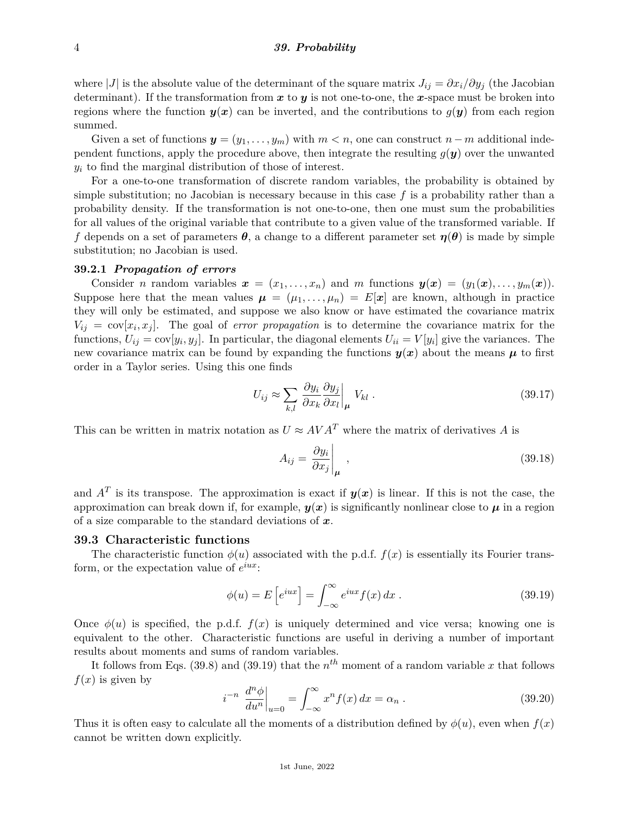where |*J*| is the absolute value of the determinant of the square matrix  $J_{ij} = \partial x_i / \partial y_j$  (the Jacobian determinant). If the transformation from *x* to *y* is not one-to-one, the *x*-space must be broken into regions where the function  $y(x)$  can be inverted, and the contributions to  $g(y)$  from each region summed.

Given a set of functions  $y = (y_1, \ldots, y_m)$  with  $m < n$ , one can construct  $n - m$  additional independent functions, apply the procedure above, then integrate the resulting  $g(y)$  over the unwanted *y<sup>i</sup>* to find the marginal distribution of those of interest.

For a one-to-one transformation of discrete random variables, the probability is obtained by simple substitution; no Jacobian is necessary because in this case *f* is a probability rather than a probability density. If the transformation is not one-to-one, then one must sum the probabilities for all values of the original variable that contribute to a given value of the transformed variable. If *f* depends on a set of parameters  $\theta$ , a change to a different parameter set  $\eta(\theta)$  is made by simple substitution; no Jacobian is used.

# **39.2.1** *Propagation of errors*

Consider *n* random variables  $x = (x_1, \ldots, x_n)$  and *m* functions  $y(x) = (y_1(x), \ldots, y_m(x))$ . Suppose here that the mean values  $\mu = (\mu_1, \ldots, \mu_n) = E[\mathbf{x}]$  are known, although in practice they will only be estimated, and suppose we also know or have estimated the covariance matrix  $V_{ij} = \text{cov}[x_i, x_j]$ . The goal of *error propagation* is to determine the covariance matrix for the functions,  $U_{ij} = \text{cov}[y_i, y_j]$ . In particular, the diagonal elements  $U_{ii} = V[y_i]$  give the variances. The new covariance matrix can be found by expanding the functions  $y(x)$  about the means  $\mu$  to first order in a Taylor series. Using this one finds

$$
U_{ij} \approx \sum_{k,l} \left. \frac{\partial y_i}{\partial x_k} \frac{\partial y_j}{\partial x_l} \right|_{\mu} V_{kl} \,. \tag{39.17}
$$

This can be written in matrix notation as  $U \approx AVA^{T}$  where the matrix of derivatives *A* is

$$
A_{ij} = \left. \frac{\partial y_i}{\partial x_j} \right|_{\mu} , \qquad (39.18)
$$

and  $A<sup>T</sup>$  is its transpose. The approximation is exact if  $y(x)$  is linear. If this is not the case, the approximation can break down if, for example,  $y(x)$  is significantly nonlinear close to  $\mu$  in a region of a size comparable to the standard deviations of *x*.

### **39.3 Characteristic functions**

The characteristic function  $\phi(u)$  associated with the p.d.f.  $f(x)$  is essentially its Fourier transform, or the expectation value of *e iux*:

$$
\phi(u) = E\left[e^{iux}\right] = \int_{-\infty}^{\infty} e^{iux} f(x) dx.
$$
\n(39.19)

Once  $\phi(u)$  is specified, the p.d.f.  $f(x)$  is uniquely determined and vice versa; knowing one is equivalent to the other. Characteristic functions are useful in deriving a number of important results about moments and sums of random variables.

It follows from Eqs. (39.8) and (39.19) that the  $n^{th}$  moment of a random variable x that follows  $f(x)$  is given by

$$
i^{-n} \left. \frac{d^n \phi}{du^n} \right|_{u=0} = \int_{-\infty}^{\infty} x^n f(x) \, dx = \alpha_n \,. \tag{39.20}
$$

Thus it is often easy to calculate all the moments of a distribution defined by  $\phi(u)$ , even when  $f(x)$ cannot be written down explicitly.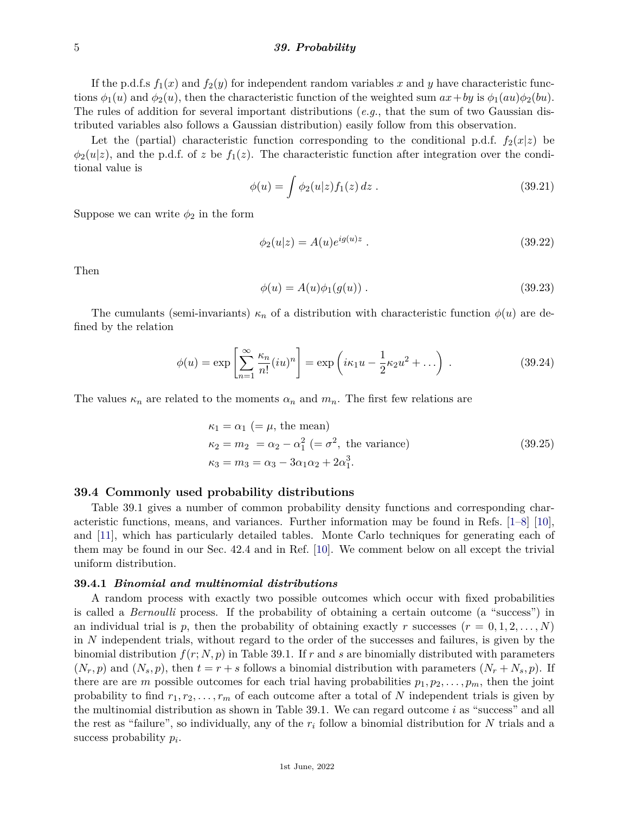#### 5 *39. Probability*

If the p.d.f.s  $f_1(x)$  and  $f_2(y)$  for independent random variables x and y have characteristic functions  $\phi_1(u)$  and  $\phi_2(u)$ , then the characteristic function of the weighted sum  $ax + by$  is  $\phi_1(au)\phi_2(bu)$ . The rules of addition for several important distributions (*e.g.*, that the sum of two Gaussian distributed variables also follows a Gaussian distribution) easily follow from this observation.

Let the (partial) characteristic function corresponding to the conditional p.d.f.  $f_2(x|z)$  be  $\phi_2(u|z)$ , and the p.d.f. of *z* be  $f_1(z)$ . The characteristic function after integration over the conditional value is

$$
\phi(u) = \int \phi_2(u|z) f_1(z) \, dz \,. \tag{39.21}
$$

Suppose we can write  $\phi_2$  in the form

$$
\phi_2(u|z) = A(u)e^{ig(u)z} \tag{39.22}
$$

Then

$$
\phi(u) = A(u)\phi_1(g(u)) . \tag{39.23}
$$

The cumulants (semi-invariants)  $\kappa_n$  of a distribution with characteristic function  $\phi(u)$  are defined by the relation

$$
\phi(u) = \exp\left[\sum_{n=1}^{\infty} \frac{\kappa_n}{n!} (iu)^n\right] = \exp\left(i\kappa_1 u - \frac{1}{2}\kappa_2 u^2 + \dots\right) . \tag{39.24}
$$

The values  $\kappa_n$  are related to the moments  $\alpha_n$  and  $m_n$ . The first few relations are

$$
\kappa_1 = \alpha_1 \ (= \mu, \text{ the mean})
$$
  
\n
$$
\kappa_2 = m_2 = \alpha_2 - \alpha_1^2 \ (= \sigma^2, \text{ the variance})
$$
  
\n
$$
\kappa_3 = m_3 = \alpha_3 - 3\alpha_1\alpha_2 + 2\alpha_1^3.
$$
\n(39.25)

#### **39.4 Commonly used probability distributions**

Table 39.1 gives a number of common probability density functions and corresponding characteristic functions, means, and variances. Further information may be found in Refs. [\[1–](#page-8-0)[8\]](#page-8-1) [\[10\]](#page-8-3), and [\[11\]](#page-8-4), which has particularly detailed tables. Monte Carlo techniques for generating each of them may be found in our Sec. 42.4 and in Ref. [\[10\]](#page-8-3). We comment below on all except the trivial uniform distribution.

#### **39.4.1** *Binomial and multinomial distributions*

A random process with exactly two possible outcomes which occur with fixed probabilities is called a *Bernoulli* process. If the probability of obtaining a certain outcome (a "success") in an individual trial is p, then the probability of obtaining exactly r successes  $(r = 0, 1, 2, \ldots, N)$ in *N* independent trials, without regard to the order of the successes and failures, is given by the binomial distribution  $f(r; N, p)$  in Table 39.1. If r and s are binomially distributed with parameters  $(N_r, p)$  and  $(N_s, p)$ , then  $t = r + s$  follows a binomial distribution with parameters  $(N_r + N_s, p)$ . If there are are *m* possible outcomes for each trial having probabilities  $p_1, p_2, \ldots, p_m$ , then the joint probability to find  $r_1, r_2, \ldots, r_m$  of each outcome after a total of N independent trials is given by the multinomial distribution as shown in Table 39.1. We can regard outcome *i* as "success" and all the rest as "failure", so individually, any of the  $r_i$  follow a binomial distribution for N trials and a success probability *p<sup>i</sup>* .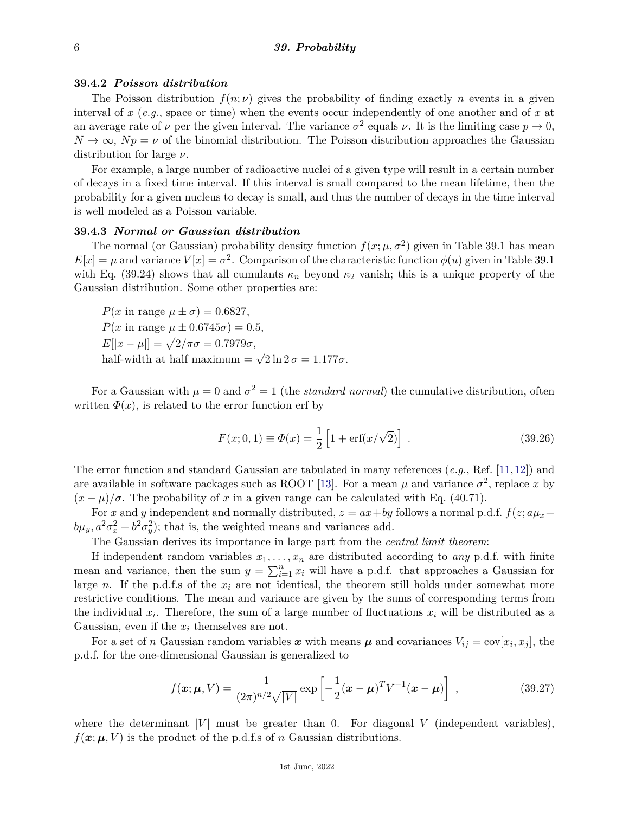#### **39.4.2** *Poisson distribution*

The Poisson distribution  $f(n; \nu)$  gives the probability of finding exactly *n* events in a given interval of *x* (*e.g.*, space or time) when the events occur independently of one another and of *x* at an average rate of  $\nu$  per the given interval. The variance  $\sigma^2$  equals  $\nu$ . It is the limiting case  $p \to 0$ ,  $N \to \infty$ ,  $Np = \nu$  of the binomial distribution. The Poisson distribution approaches the Gaussian distribution for large *ν*.

For example, a large number of radioactive nuclei of a given type will result in a certain number of decays in a fixed time interval. If this interval is small compared to the mean lifetime, then the probability for a given nucleus to decay is small, and thus the number of decays in the time interval is well modeled as a Poisson variable.

#### **39.4.3** *Normal or Gaussian distribution*

The normal (or Gaussian) probability density function  $f(x; \mu, \sigma^2)$  given in Table 39.1 has mean  $E[x] = \mu$  and variance  $V[x] = \sigma^2$ . Comparison of the characteristic function  $\phi(u)$  given in Table 39.1 with Eq. (39.24) shows that all cumulants  $\kappa_n$  beyond  $\kappa_2$  vanish; this is a unique property of the Gaussian distribution. Some other properties are:

*P*(*x* in range  $\mu \pm \sigma$ ) = 0.6827, *P*(*x* in range  $\mu \pm 0.6745\sigma$ ) = 0.5,  $E[|x - \mu|] = \sqrt{2/\pi}\sigma = 0.7979\sigma,$ half-width at half maximum  $=$ √  $2 \ln 2 \sigma = 1.177\sigma.$ 

For a Gaussian with  $\mu = 0$  and  $\sigma^2 = 1$  (the *standard normal*) the cumulative distribution, often written  $\Phi(x)$ , is related to the error function erf by

$$
F(x; 0, 1) \equiv \Phi(x) = \frac{1}{2} \left[ 1 + \text{erf}(x/\sqrt{2}) \right] \,. \tag{39.26}
$$

The error function and standard Gaussian are tabulated in many references (*e.g.*, Ref. [\[11,](#page-8-4)[12\]](#page-8-5)) and are available in software packages such as ROOT [\[13\]](#page-8-6). For a mean  $\mu$  and variance  $\sigma^2$ , replace x by  $(x - \mu)/\sigma$ . The probability of x in a given range can be calculated with Eq. (40.71).

For *x* and *y* independent and normally distributed,  $z = ax + by$  follows a normal p.d.f.  $f(z; a\mu_x + b\mu_y)$  $b\mu_y$ ,  $a^2\sigma_x^2 + b^2\sigma_y^2$ ; that is, the weighted means and variances add.

The Gaussian derives its importance in large part from the *central limit theorem*:

If independent random variables  $x_1, \ldots, x_n$  are distributed according to *any* p.d.f. with finite mean and variance, then the sum  $y = \sum_{i=1}^{n} x_i$  will have a p.d.f. that approaches a Gaussian for large *n*. If the p.d.f.s of the  $x_i$  are not identical, the theorem still holds under somewhat more restrictive conditions. The mean and variance are given by the sums of corresponding terms from the individual  $x_i$ . Therefore, the sum of a large number of fluctuations  $x_i$  will be distributed as a Gaussian, even if the *x<sup>i</sup>* themselves are not.

For a set of *n* Gaussian random variables x with means  $\mu$  and covariances  $V_{ij} = \text{cov}[x_i, x_j]$ , the p.d.f. for the one-dimensional Gaussian is generalized to

$$
f(\boldsymbol{x}; \boldsymbol{\mu}, V) = \frac{1}{(2\pi)^{n/2}\sqrt{|V|}} \exp\left[-\frac{1}{2}(\boldsymbol{x} - \boldsymbol{\mu})^T V^{-1}(\boldsymbol{x} - \boldsymbol{\mu})\right],
$$
\n(39.27)

where the determinant  $|V|$  must be greater than 0. For diagonal V (independent variables),  $f(\mathbf{x}; \boldsymbol{\mu}, V)$  is the product of the p.d.f.s of *n* Gaussian distributions.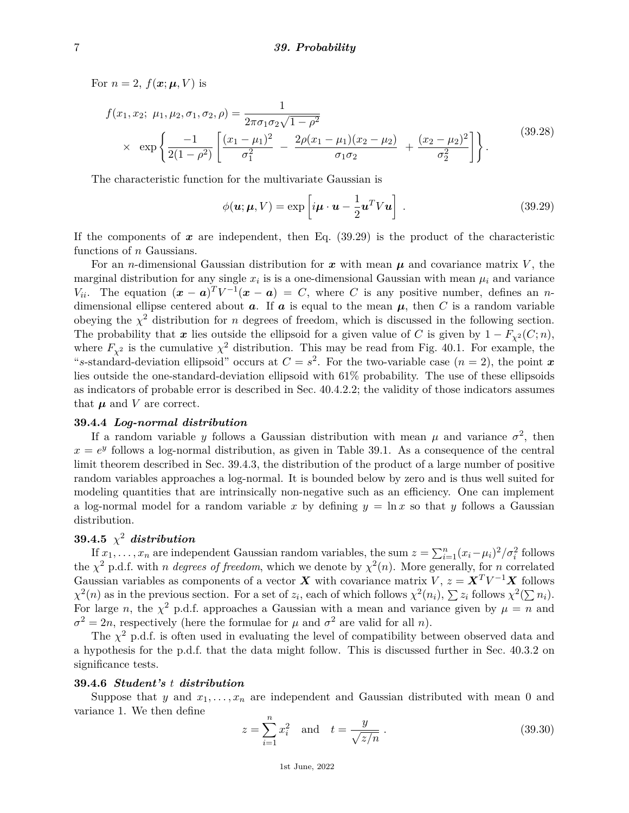For  $n = 2$ ,  $f(\boldsymbol{x}; \boldsymbol{\mu}, V)$  is

$$
f(x_1, x_2; \mu_1, \mu_2, \sigma_1, \sigma_2, \rho) = \frac{1}{2\pi \sigma_1 \sigma_2 \sqrt{1 - \rho^2}} \times \exp\left\{ \frac{-1}{2(1 - \rho^2)} \left[ \frac{(x_1 - \mu_1)^2}{\sigma_1^2} - \frac{2\rho(x_1 - \mu_1)(x_2 - \mu_2)}{\sigma_1 \sigma_2} + \frac{(x_2 - \mu_2)^2}{\sigma_2^2} \right] \right\}.
$$
\n(39.28)

The characteristic function for the multivariate Gaussian is

$$
\phi(\mathbf{u}; \mathbf{\mu}, V) = \exp\left[i\mathbf{\mu} \cdot \mathbf{u} - \frac{1}{2} \mathbf{u}^T V \mathbf{u}\right].
$$
 (39.29)

If the components of  $x$  are independent, then Eq.  $(39.29)$  is the product of the characteristic functions of *n* Gaussians.

For an *n*-dimensional Gaussian distribution for  $x$  with mean  $\mu$  and covariance matrix V, the marginal distribution for any single  $x_i$  is is a one-dimensional Gaussian with mean  $\mu_i$  and variance *V*<sub>ii</sub>. The equation  $(x - a)^T V^{-1}(x - a) = C$ , where *C* is any positive number, defines an *n*dimensional ellipse centered about  $a$ . If  $a$  is equal to the mean  $\mu$ , then  $C$  is a random variable obeying the  $\chi^2$  distribution for *n* degrees of freedom, which is discussed in the following section. The probability that *x* lies outside the ellipsoid for a given value of *C* is given by  $1 - F_{\chi^2}(C; n)$ , where  $F_{\chi^2}$  is the cumulative  $\chi^2$  distribution. This may be read from Fig. 40.1. For example, the "s-standard-deviation ellipsoid" occurs at  $C = s^2$ . For the two-variable case  $(n = 2)$ , the point x lies outside the one-standard-deviation ellipsoid with 61% probability. The use of these ellipsoids as indicators of probable error is described in Sec. 40.4.2.2; the validity of those indicators assumes that  $\mu$  and  $V$  are correct.

### **39.4.4** *Log-normal distribution*

If a random variable *y* follows a Gaussian distribution with mean  $\mu$  and variance  $\sigma^2$ , then  $x = e^y$  follows a log-normal distribution, as given in Table 39.1. As a consequence of the central limit theorem described in Sec. 39.4.3, the distribution of the product of a large number of positive random variables approaches a log-normal. It is bounded below by zero and is thus well suited for modeling quantities that are intrinsically non-negative such as an efficiency. One can implement a log-normal model for a random variable x by defining  $y = \ln x$  so that y follows a Gaussian distribution.

# $39.4.5 \times 2$  *distribution*

If  $x_1, \ldots, x_n$  are independent Gaussian random variables, the sum  $z = \sum_{i=1}^n (x_i - \mu_i)^2 / \sigma_i^2$  follows the  $\chi^2$  p.d.f. with *n* degrees of freedom, which we denote by  $\chi^2(n)$ . More generally, for *n* correlated Gaussian variables as components of a vector *X* with covariance matrix *V*,  $z = X<sup>T</sup>V<sup>-1</sup>X$  follows  $\chi^2(n)$  as in the previous section. For a set of *z<sub>i</sub>*, each of which follows  $\chi^2(n_i)$ ,  $\sum z_i$  follows  $\chi^2(\sum n_i)$ . For large *n*, the  $\chi^2$  p.d.f. approaches a Gaussian with a mean and variance given by  $\mu = n$  and  $\sigma^2 = 2n$ , respectively (here the formulae for *µ* and  $\sigma^2$  are valid for all *n*).

The  $\chi^2$  p.d.f. is often used in evaluating the level of compatibility between observed data and a hypothesis for the p.d.f. that the data might follow. This is discussed further in Sec. 40.3.2 on significance tests.

#### **39.4.6** *Student's t distribution*

Suppose that *y* and  $x_1, \ldots, x_n$  are independent and Gaussian distributed with mean 0 and variance 1. We then define

$$
z = \sum_{i=1}^{n} x_i^2 \text{ and } t = \frac{y}{\sqrt{z/n}}.
$$
 (39.30)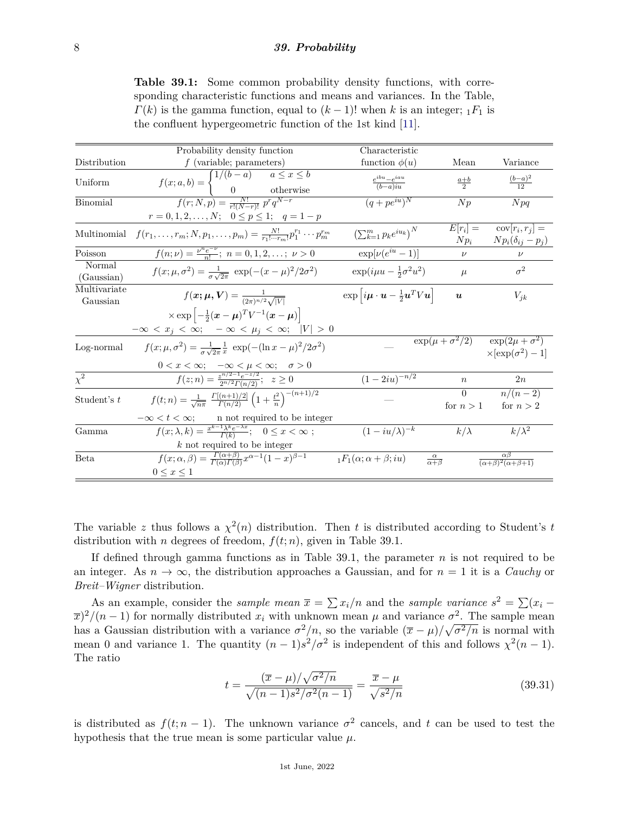**Table 39.1:** Some common probability density functions, with corresponding characteristic functions and means and variances. In the Table,  $\Gamma(k)$  is the gamma function, equal to  $(k-1)!$  when *k* is an integer;  $_1F_1$  is the confluent hypergeometric function of the 1st kind [\[11\]](#page-8-4).

|                          | Probability density function                                                                                                             | Characteristic                                                                                      |                               |                                                                                                            |
|--------------------------|------------------------------------------------------------------------------------------------------------------------------------------|-----------------------------------------------------------------------------------------------------|-------------------------------|------------------------------------------------------------------------------------------------------------|
| Distribution             | $f$ (variable; parameters)                                                                                                               | function $\phi(u)$                                                                                  | Mean                          | Variance                                                                                                   |
| Uniform                  | $f(x;a,b) = \begin{cases} 1/(b-a) & a \leq x \leq b \\ 0 & \text{otherwise} \end{cases}$<br>$f(r;N,p) = \frac{N!}{r!(N-r)!} p^r q^{N-r}$ | $\frac{e^{ibu} - e^{iau}}{(b-a)iu}$                                                                 | $\frac{a+b}{2}$               | $\frac{(b-a)^2}{12}$                                                                                       |
| Binomial                 |                                                                                                                                          | $(q + pe^{iu})^N$                                                                                   | Np                            | Npq                                                                                                        |
|                          | $r = 0, 1, 2, \dots, N; \quad 0 \le p \le 1; \quad q = 1 - p$                                                                            |                                                                                                     |                               |                                                                                                            |
| Multinomial              | $f(r_1,\ldots,r_m;N,p_1,\ldots,p_m)=\frac{N!}{r_1!\cdots r_m!}p_1^{r_1}\cdots p_m^{r_m}$                                                 | $\left(\sum_{k=1}^m p_k e^{iu_k}\right)^N$                                                          | $E[r_i] =$<br>$N p_i$         | $cov[r_i, r_j] =$<br>$Np_i(\delta_{ij}-p_j)$                                                               |
| Poisson                  | $f(n;\nu) = \frac{\nu^n e^{-\nu}}{n!}; \; n = 0, 1, 2, \ldots; \; \nu > 0$                                                               | $\exp[\nu(e^{iu}-1)]$                                                                               | $\nu$                         | $\nu$                                                                                                      |
| Normal<br>(Gaussian)     | $f(x; \mu, \sigma^2) = \frac{1}{\sigma_1 \sqrt{2\pi}} \exp(-(x-\mu)^2/2\sigma^2)$                                                        | $\exp(i\mu u - \frac{1}{2}\sigma^2 u^2)$                                                            | $\mu$                         | $\sigma^2$                                                                                                 |
| Multivariate<br>Gaussian | $f(x; \mu, V) = \frac{1}{(2\pi)^{n/2} \sqrt{ V }}$                                                                                       | $\exp\left[i\boldsymbol{\mu}\cdot\boldsymbol{u}-\frac{1}{2}\boldsymbol{u}^T V\boldsymbol{u}\right]$ | $\boldsymbol{u}$              | $V_{jk}$                                                                                                   |
|                          | $\times \exp\left[-\frac{1}{2}(\boldsymbol{x}-\boldsymbol{\mu})^T V^{-1}(\boldsymbol{x}-\boldsymbol{\mu})\right]$                        |                                                                                                     |                               |                                                                                                            |
|                          | $-\infty < x_j < \infty$ ; $-\infty < \mu_j < \infty$ ; $ V  > 0$                                                                        |                                                                                                     |                               |                                                                                                            |
| Log-normal               | $f(x; \mu, \sigma^2) = \frac{1}{\sigma \sqrt{2\pi}} \frac{1}{x} \exp(-(\ln x - \mu)^2/2\sigma^2)$                                        |                                                                                                     |                               | $\overline{\exp(\mu + \sigma^2/2)}$ $\overline{\exp(2\mu + \sigma^2)}$<br>$\times$ [exp( $\sigma^2$ ) – 1] |
|                          | $0 < x < \infty$ ; $-\infty < \mu < \infty$ ; $\sigma > 0$                                                                               |                                                                                                     |                               |                                                                                                            |
| $\chi^2$                 | $f(z; n) = \frac{z^{n/2-1}e^{-z/2}}{2n/2\Gamma(n/2)}$ ; $z \ge 0$                                                                        | $(1-2iu)^{-n/2}$                                                                                    | $\boldsymbol{n}$              | 2n                                                                                                         |
| Student's $t$            | $f(t; n) = \frac{1}{\sqrt{n\pi}} \frac{\Gamma[(n+1)/2]}{\Gamma(n/2)} \left(1 + \frac{t^2}{n}\right)^{-(n+1)/2}$                          |                                                                                                     | $\Omega$                      | $n/(n-2)$                                                                                                  |
|                          |                                                                                                                                          |                                                                                                     | for $n>1$                     | for $n > 2$                                                                                                |
|                          | $-\infty < t < \infty$ ;<br>n not required to be integer                                                                                 |                                                                                                     |                               |                                                                                                            |
| Gamma                    | $f(x; \lambda, k) = \frac{x^{k-1} \lambda^k e^{-\lambda x}}{\Gamma(k)}$ ; $0 \leq x < \infty$ ;                                          | $(1-iu/\lambda)^{-k}$                                                                               | $k/\lambda$                   | $k/\lambda^2$                                                                                              |
|                          | $k$ not required to be integer                                                                                                           |                                                                                                     |                               |                                                                                                            |
| <b>Beta</b>              | $f(x; \alpha, \beta) = \frac{\Gamma(\alpha+\beta)}{\Gamma(\alpha)\Gamma(\beta)} x^{\alpha-1} (1-x)^{\beta-1}$                            | $_1F_1(\alpha; \alpha + \beta; i\alpha)$                                                            | $\frac{\alpha}{\alpha+\beta}$ | $\alpha\beta$<br>$\frac{(\alpha+\beta)^2(\alpha+\beta+1)}{(\alpha+\beta+1)}$                               |
|                          | $0 \leq x \leq 1$                                                                                                                        |                                                                                                     |                               |                                                                                                            |

The variable *z* thus follows a  $\chi^2(n)$  distribution. Then *t* is distributed according to Student's *t* distribution with *n* degrees of freedom,  $f(t; n)$ , given in Table 39.1.

If defined through gamma functions as in Table 39.1, the parameter *n* is not required to be an integer. As  $n \to \infty$ , the distribution approaches a Gaussian, and for  $n = 1$  it is a *Cauchy* or *Breit–Wigner* distribution.

As an example, consider the *sample mean*  $\bar{x} = \sum x_i/n$  and the *sample variance*  $s^2 = \sum (x_i \overline{x}$ <sup>2</sup>/(*n* − 1) for normally distributed *x<sub>i</sub>* with unknown mean  $\mu$  and variance  $\sigma$ <sup>2</sup>. The sample mean has a Gaussian distribution with a variance  $\sigma^2/n$ , so the variable  $(\bar{x} - \mu)/\sqrt{\sigma^2/n}$  is normal with mean 0 and variance 1. The quantity  $(n-1)s^2/\sigma^2$  is independent of this and follows  $\chi^2(n-1)$ . The ratio

$$
t = \frac{(\overline{x} - \mu)/\sqrt{\sigma^2/n}}{\sqrt{(n-1)s^2/\sigma^2(n-1)}} = \frac{\overline{x} - \mu}{\sqrt{s^2/n}}
$$
(39.31)

is distributed as  $f(t; n-1)$ . The unknown variance  $\sigma^2$  cancels, and t can be used to test the hypothesis that the true mean is some particular value *µ*.